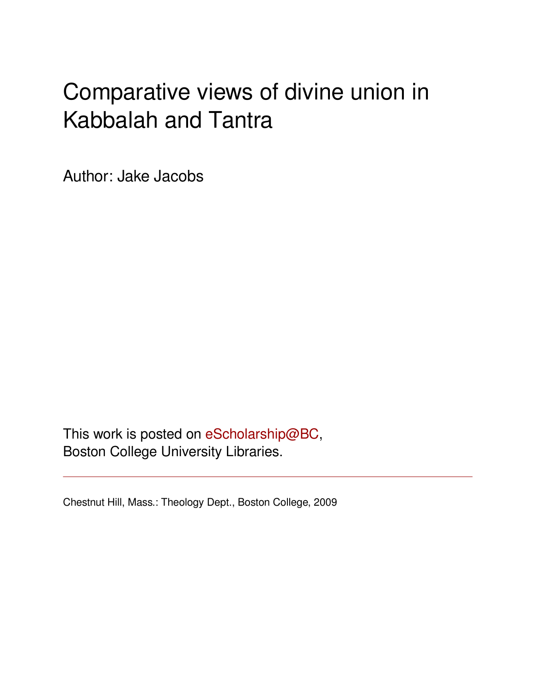# Comparative views of divine union in Kabbalah and Tantra

Author: Jake Jacobs

This work is posted on [eScholarship@BC](http://escholarship.bc.edu), Boston College University Libraries.

Chestnut Hill, Mass.: Theology Dept., Boston College, 2009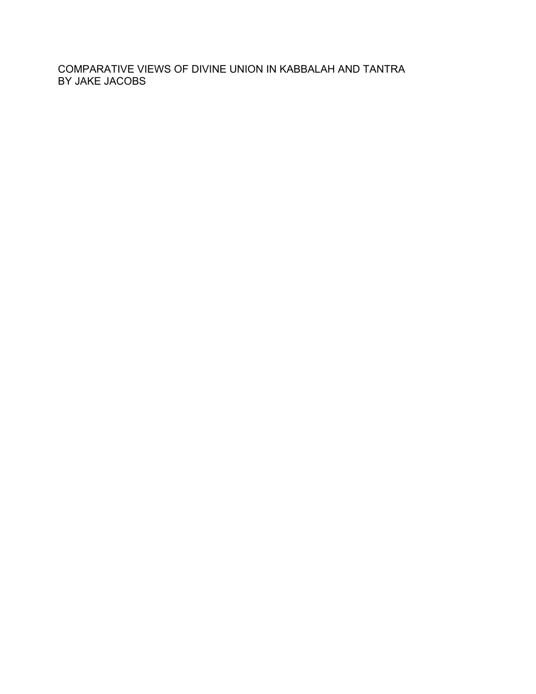COMPARATIVE VIEWS OF DIVINE UNION IN KABBALAH AND TANTRA BY JAKE JACOBS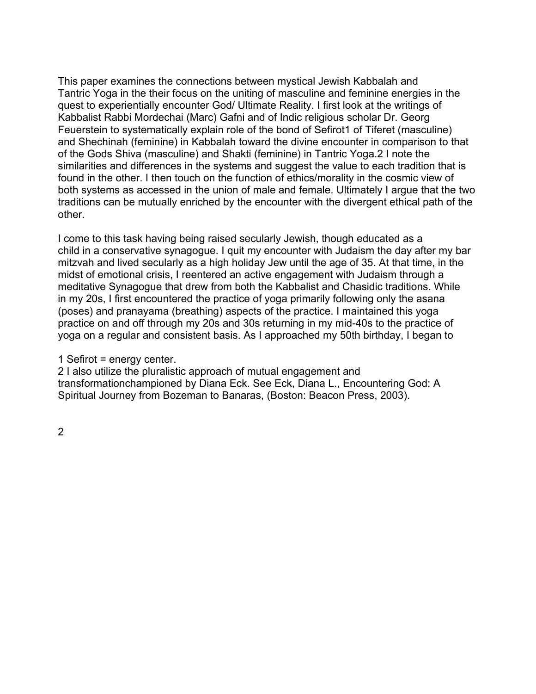This paper examines the connections between mystical Jewish Kabbalah and Tantric Yoga in the their focus on the uniting of masculine and feminine energies in the quest to experientially encounter God/ Ultimate Reality. I first look at the writings of Kabbalist Rabbi Mordechai (Marc) Gafni and of Indic religious scholar Dr. Georg Feuerstein to systematically explain role of the bond of Sefirot1 of Tiferet (masculine) and Shechinah (feminine) in Kabbalah toward the divine encounter in comparison to that of the Gods Shiva (masculine) and Shakti (feminine) in Tantric Yoga.2 I note the similarities and differences in the systems and suggest the value to each tradition that is found in the other. I then touch on the function of ethics/morality in the cosmic view of both systems as accessed in the union of male and female. Ultimately I argue that the two traditions can be mutually enriched by the encounter with the divergent ethical path of the other.

I come to this task having being raised secularly Jewish, though educated as a child in a conservative synagogue. I quit my encounter with Judaism the day after my bar mitzvah and lived secularly as a high holiday Jew until the age of 35. At that time, in the midst of emotional crisis, I reentered an active engagement with Judaism through a meditative Synagogue that drew from both the Kabbalist and Chasidic traditions. While in my 20s, I first encountered the practice of yoga primarily following only the asana (poses) and pranayama (breathing) aspects of the practice. I maintained this yoga practice on and off through my 20s and 30s returning in my mid-40s to the practice of yoga on a regular and consistent basis. As I approached my 50th birthday, I began to

1 Sefirot = energy center.

2 I also utilize the pluralistic approach of mutual engagement and transformationchampioned by Diana Eck. See Eck, Diana L., Encountering God: A Spiritual Journey from Bozeman to Banaras, (Boston: Beacon Press, 2003).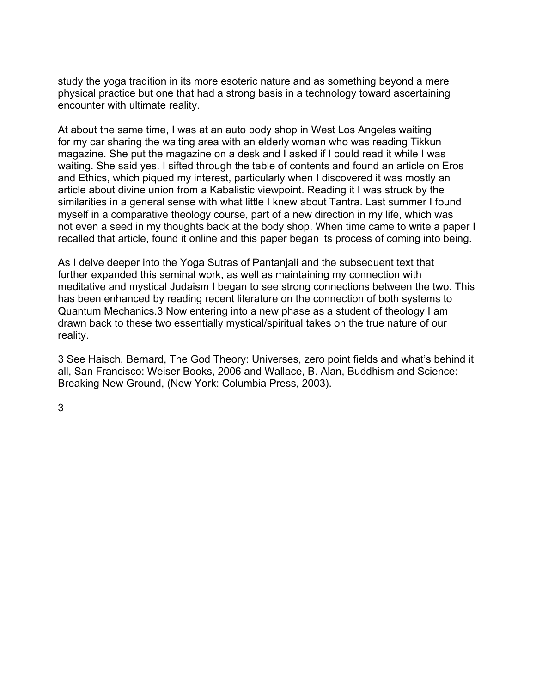study the yoga tradition in its more esoteric nature and as something beyond a mere physical practice but one that had a strong basis in a technology toward ascertaining encounter with ultimate reality.

At about the same time, I was at an auto body shop in West Los Angeles waiting for my car sharing the waiting area with an elderly woman who was reading Tikkun magazine. She put the magazine on a desk and I asked if I could read it while I was waiting. She said yes. I sifted through the table of contents and found an article on Eros and Ethics, which piqued my interest, particularly when I discovered it was mostly an article about divine union from a Kabalistic viewpoint. Reading it I was struck by the similarities in a general sense with what little I knew about Tantra. Last summer I found myself in a comparative theology course, part of a new direction in my life, which was not even a seed in my thoughts back at the body shop. When time came to write a paper I recalled that article, found it online and this paper began its process of coming into being.

As I delve deeper into the Yoga Sutras of Pantanjali and the subsequent text that further expanded this seminal work, as well as maintaining my connection with meditative and mystical Judaism I began to see strong connections between the two. This has been enhanced by reading recent literature on the connection of both systems to Quantum Mechanics.3 Now entering into a new phase as a student of theology I am drawn back to these two essentially mystical/spiritual takes on the true nature of our reality.

3 See Haisch, Bernard, The God Theory: Universes, zero point fields and what's behind it all, San Francisco: Weiser Books, 2006 and Wallace, B. Alan, Buddhism and Science: Breaking New Ground, (New York: Columbia Press, 2003).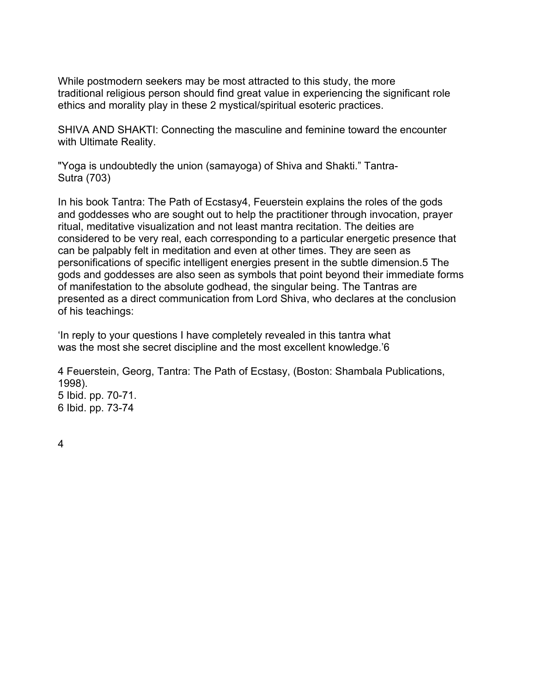While postmodern seekers may be most attracted to this study, the more traditional religious person should find great value in experiencing the significant role ethics and morality play in these 2 mystical/spiritual esoteric practices.

SHIVA AND SHAKTI: Connecting the masculine and feminine toward the encounter with Ultimate Reality.

"Yoga is undoubtedly the union (samayoga) of Shiva and Shakti." Tantra-Sutra (703)

In his book Tantra: The Path of Ecstasy4, Feuerstein explains the roles of the gods and goddesses who are sought out to help the practitioner through invocation, prayer ritual, meditative visualization and not least mantra recitation. The deities are considered to be very real, each corresponding to a particular energetic presence that can be palpably felt in meditation and even at other times. They are seen as personifications of specific intelligent energies present in the subtle dimension.5 The gods and goddesses are also seen as symbols that point beyond their immediate forms of manifestation to the absolute godhead, the singular being. The Tantras are presented as a direct communication from Lord Shiva, who declares at the conclusion of his teachings:

'In reply to your questions I have completely revealed in this tantra what was the most she secret discipline and the most excellent knowledge.'6

4 Feuerstein, Georg, Tantra: The Path of Ecstasy, (Boston: Shambala Publications, 1998). 5 Ibid. pp. 70-71. 6 Ibid. pp. 73-74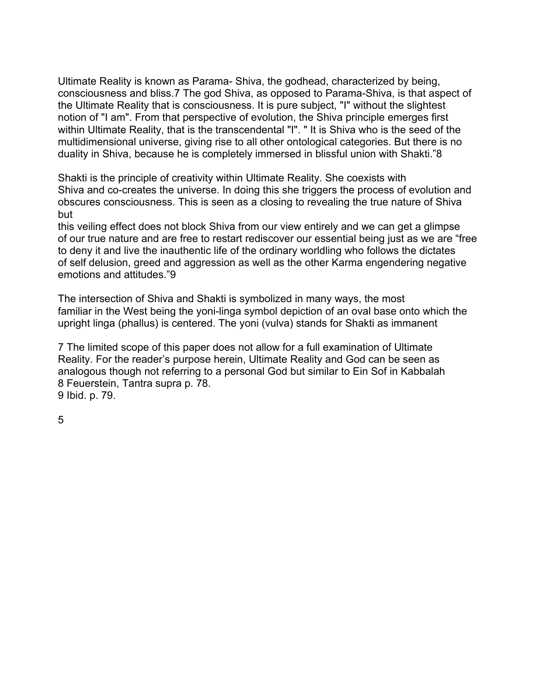Ultimate Reality is known as Parama- Shiva, the godhead, characterized by being, consciousness and bliss.7 The god Shiva, as opposed to Parama-Shiva, is that aspect of the Ultimate Reality that is consciousness. It is pure subject, "I" without the slightest notion of "I am". From that perspective of evolution, the Shiva principle emerges first within Ultimate Reality, that is the transcendental "I". " It is Shiva who is the seed of the multidimensional universe, giving rise to all other ontological categories. But there is no duality in Shiva, because he is completely immersed in blissful union with Shakti."8

Shakti is the principle of creativity within Ultimate Reality. She coexists with Shiva and co-creates the universe. In doing this she triggers the process of evolution and obscures consciousness. This is seen as a closing to revealing the true nature of Shiva but

this veiling effect does not block Shiva from our view entirely and we can get a glimpse of our true nature and are free to restart rediscover our essential being just as we are "free to deny it and live the inauthentic life of the ordinary worldling who follows the dictates of self delusion, greed and aggression as well as the other Karma engendering negative emotions and attitudes."9

The intersection of Shiva and Shakti is symbolized in many ways, the most familiar in the West being the yoni-linga symbol depiction of an oval base onto which the upright linga (phallus) is centered. The yoni (vulva) stands for Shakti as immanent

7 The limited scope of this paper does not allow for a full examination of Ultimate Reality. For the reader's purpose herein, Ultimate Reality and God can be seen as analogous though not referring to a personal God but similar to Ein Sof in Kabbalah 8 Feuerstein, Tantra supra p. 78. 9 Ibid. p. 79.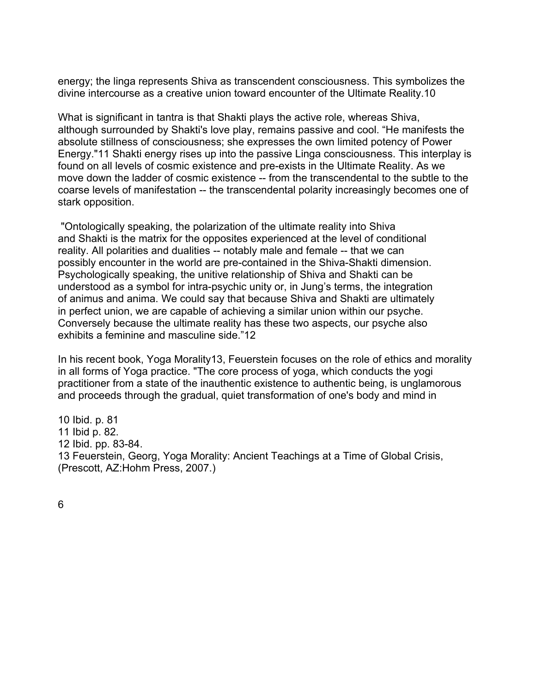energy; the linga represents Shiva as transcendent consciousness. This symbolizes the divine intercourse as a creative union toward encounter of the Ultimate Reality.10

What is significant in tantra is that Shakti plays the active role, whereas Shiva, although surrounded by Shakti's love play, remains passive and cool. "He manifests the absolute stillness of consciousness; she expresses the own limited potency of Power Energy."11 Shakti energy rises up into the passive Linga consciousness. This interplay is found on all levels of cosmic existence and pre-exists in the Ultimate Reality. As we move down the ladder of cosmic existence -- from the transcendental to the subtle to the coarse levels of manifestation -- the transcendental polarity increasingly becomes one of stark opposition.

 "Ontologically speaking, the polarization of the ultimate reality into Shiva and Shakti is the matrix for the opposites experienced at the level of conditional reality. All polarities and dualities -- notably male and female -- that we can possibly encounter in the world are pre-contained in the Shiva-Shakti dimension. Psychologically speaking, the unitive relationship of Shiva and Shakti can be understood as a symbol for intra-psychic unity or, in Jung's terms, the integration of animus and anima. We could say that because Shiva and Shakti are ultimately in perfect union, we are capable of achieving a similar union within our psyche. Conversely because the ultimate reality has these two aspects, our psyche also exhibits a feminine and masculine side."12

In his recent book, Yoga Morality13, Feuerstein focuses on the role of ethics and morality in all forms of Yoga practice. "The core process of yoga, which conducts the yogi practitioner from a state of the inauthentic existence to authentic being, is unglamorous and proceeds through the gradual, quiet transformation of one's body and mind in

10 Ibid. p. 81 11 Ibid p. 82. 12 Ibid. pp. 83-84. 13 Feuerstein, Georg, Yoga Morality: Ancient Teachings at a Time of Global Crisis, (Prescott, AZ:Hohm Press, 2007.)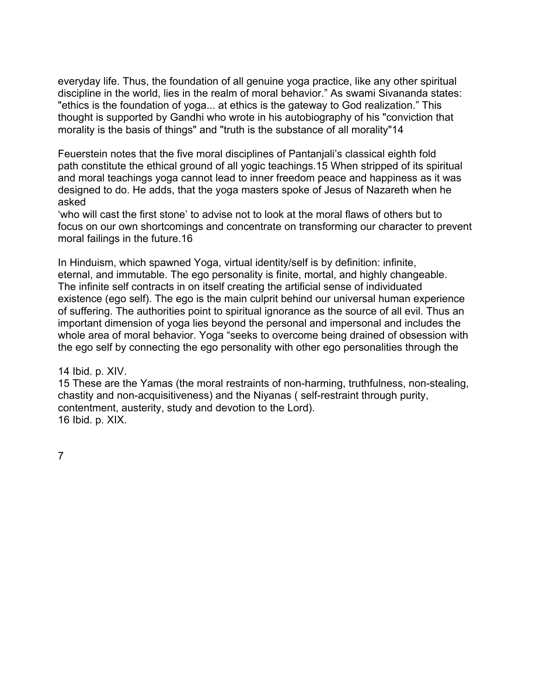everyday life. Thus, the foundation of all genuine yoga practice, like any other spiritual discipline in the world, lies in the realm of moral behavior." As swami Sivananda states: "ethics is the foundation of yoga... at ethics is the gateway to God realization." This thought is supported by Gandhi who wrote in his autobiography of his "conviction that morality is the basis of things" and "truth is the substance of all morality"14

Feuerstein notes that the five moral disciplines of Pantanjali's classical eighth fold path constitute the ethical ground of all yogic teachings.15 When stripped of its spiritual and moral teachings yoga cannot lead to inner freedom peace and happiness as it was designed to do. He adds, that the yoga masters spoke of Jesus of Nazareth when he asked

'who will cast the first stone' to advise not to look at the moral flaws of others but to focus on our own shortcomings and concentrate on transforming our character to prevent moral failings in the future.16

In Hinduism, which spawned Yoga, virtual identity/self is by definition: infinite, eternal, and immutable. The ego personality is finite, mortal, and highly changeable. The infinite self contracts in on itself creating the artificial sense of individuated existence (ego self). The ego is the main culprit behind our universal human experience of suffering. The authorities point to spiritual ignorance as the source of all evil. Thus an important dimension of yoga lies beyond the personal and impersonal and includes the whole area of moral behavior. Yoga "seeks to overcome being drained of obsession with the ego self by connecting the ego personality with other ego personalities through the

14 Ibid. p. XIV.

15 These are the Yamas (the moral restraints of non-harming, truthfulness, non-stealing, chastity and non-acquisitiveness) and the Niyanas ( self-restraint through purity, contentment, austerity, study and devotion to the Lord). 16 Ibid. p. XIX.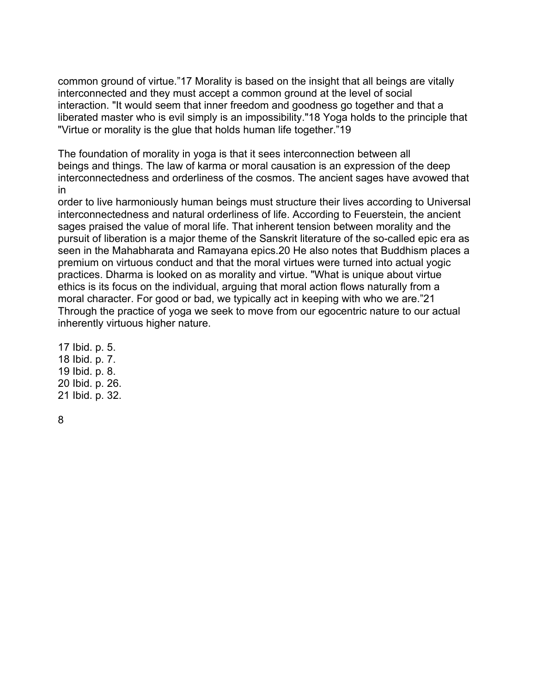common ground of virtue."17 Morality is based on the insight that all beings are vitally interconnected and they must accept a common ground at the level of social interaction. "It would seem that inner freedom and goodness go together and that a liberated master who is evil simply is an impossibility."18 Yoga holds to the principle that "Virtue or morality is the glue that holds human life together."19

The foundation of morality in yoga is that it sees interconnection between all beings and things. The law of karma or moral causation is an expression of the deep interconnectedness and orderliness of the cosmos. The ancient sages have avowed that in

order to live harmoniously human beings must structure their lives according to Universal interconnectedness and natural orderliness of life. According to Feuerstein, the ancient sages praised the value of moral life. That inherent tension between morality and the pursuit of liberation is a major theme of the Sanskrit literature of the so-called epic era as seen in the Mahabharata and Ramayana epics.20 He also notes that Buddhism places a premium on virtuous conduct and that the moral virtues were turned into actual yogic practices. Dharma is looked on as morality and virtue. "What is unique about virtue ethics is its focus on the individual, arguing that moral action flows naturally from a moral character. For good or bad, we typically act in keeping with who we are."21 Through the practice of yoga we seek to move from our egocentric nature to our actual inherently virtuous higher nature.

17 Ibid. p. 5. 18 Ibid. p. 7. 19 Ibid. p. 8. 20 Ibid. p. 26. 21 Ibid. p. 32.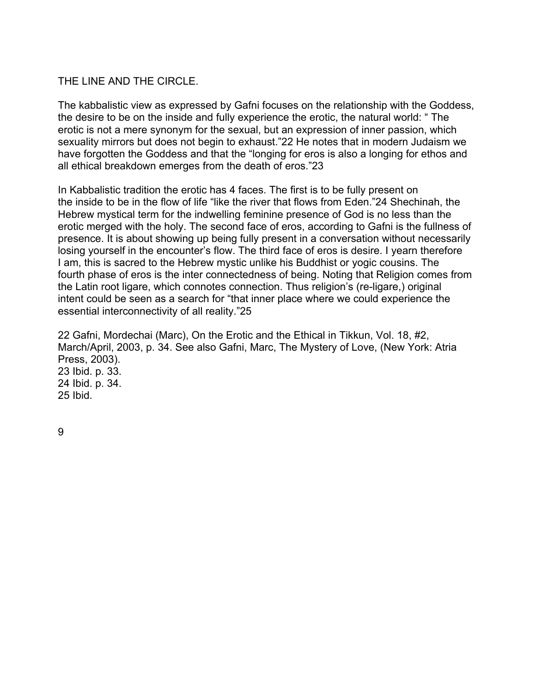## THE LINE AND THE CIRCLE.

The kabbalistic view as expressed by Gafni focuses on the relationship with the Goddess, the desire to be on the inside and fully experience the erotic, the natural world: " The erotic is not a mere synonym for the sexual, but an expression of inner passion, which sexuality mirrors but does not begin to exhaust."22 He notes that in modern Judaism we have forgotten the Goddess and that the "longing for eros is also a longing for ethos and all ethical breakdown emerges from the death of eros."23

In Kabbalistic tradition the erotic has 4 faces. The first is to be fully present on the inside to be in the flow of life "like the river that flows from Eden."24 Shechinah, the Hebrew mystical term for the indwelling feminine presence of God is no less than the erotic merged with the holy. The second face of eros, according to Gafni is the fullness of presence. It is about showing up being fully present in a conversation without necessarily losing yourself in the encounter's flow. The third face of eros is desire. I yearn therefore I am, this is sacred to the Hebrew mystic unlike his Buddhist or yogic cousins. The fourth phase of eros is the inter connectedness of being. Noting that Religion comes from the Latin root ligare, which connotes connection. Thus religion's (re-ligare,) original intent could be seen as a search for "that inner place where we could experience the essential interconnectivity of all reality."25

22 Gafni, Mordechai (Marc), On the Erotic and the Ethical in Tikkun, Vol. 18, #2, March/April, 2003, p. 34. See also Gafni, Marc, The Mystery of Love, (New York: Atria Press, 2003). 23 Ibid. p. 33. 24 Ibid. p. 34. 25 Ibid.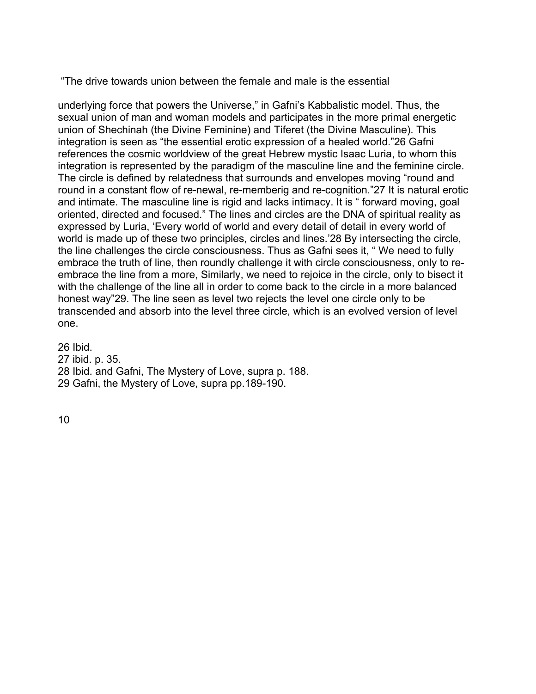"The drive towards union between the female and male is the essential

underlying force that powers the Universe," in Gafni's Kabbalistic model. Thus, the sexual union of man and woman models and participates in the more primal energetic union of Shechinah (the Divine Feminine) and Tiferet (the Divine Masculine). This integration is seen as "the essential erotic expression of a healed world."26 Gafni references the cosmic worldview of the great Hebrew mystic Isaac Luria, to whom this integration is represented by the paradigm of the masculine line and the feminine circle. The circle is defined by relatedness that surrounds and envelopes moving "round and round in a constant flow of re-newal, re-memberig and re-cognition."27 It is natural erotic and intimate. The masculine line is rigid and lacks intimacy. It is " forward moving, goal oriented, directed and focused." The lines and circles are the DNA of spiritual reality as expressed by Luria, 'Every world of world and every detail of detail in every world of world is made up of these two principles, circles and lines.'28 By intersecting the circle, the line challenges the circle consciousness. Thus as Gafni sees it, " We need to fully embrace the truth of line, then roundly challenge it with circle consciousness, only to reembrace the line from a more, Similarly, we need to rejoice in the circle, only to bisect it with the challenge of the line all in order to come back to the circle in a more balanced honest way"29. The line seen as level two rejects the level one circle only to be transcended and absorb into the level three circle, which is an evolved version of level one.

26 Ibid. 27 ibid. p. 35. 28 Ibid. and Gafni, The Mystery of Love, supra p. 188. 29 Gafni, the Mystery of Love, supra pp.189-190.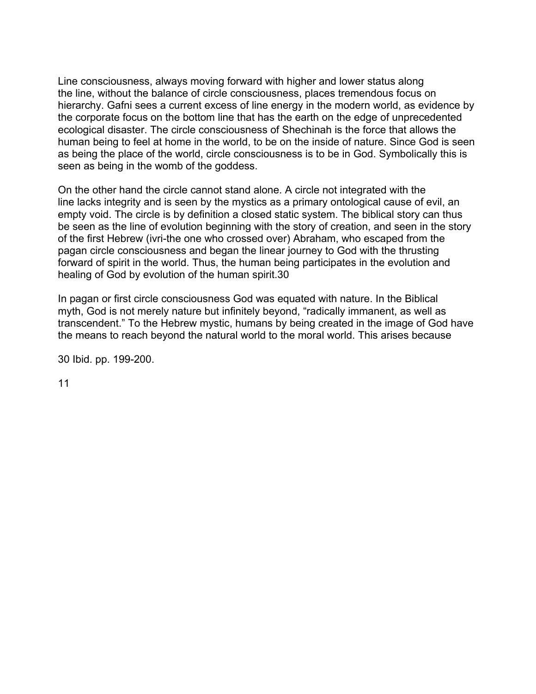Line consciousness, always moving forward with higher and lower status along the line, without the balance of circle consciousness, places tremendous focus on hierarchy. Gafni sees a current excess of line energy in the modern world, as evidence by the corporate focus on the bottom line that has the earth on the edge of unprecedented ecological disaster. The circle consciousness of Shechinah is the force that allows the human being to feel at home in the world, to be on the inside of nature. Since God is seen as being the place of the world, circle consciousness is to be in God. Symbolically this is seen as being in the womb of the goddess.

On the other hand the circle cannot stand alone. A circle not integrated with the line lacks integrity and is seen by the mystics as a primary ontological cause of evil, an empty void. The circle is by definition a closed static system. The biblical story can thus be seen as the line of evolution beginning with the story of creation, and seen in the story of the first Hebrew (ivri-the one who crossed over) Abraham, who escaped from the pagan circle consciousness and began the linear journey to God with the thrusting forward of spirit in the world. Thus, the human being participates in the evolution and healing of God by evolution of the human spirit.30

In pagan or first circle consciousness God was equated with nature. In the Biblical myth, God is not merely nature but infinitely beyond, "radically immanent, as well as transcendent." To the Hebrew mystic, humans by being created in the image of God have the means to reach beyond the natural world to the moral world. This arises because

30 Ibid. pp. 199-200.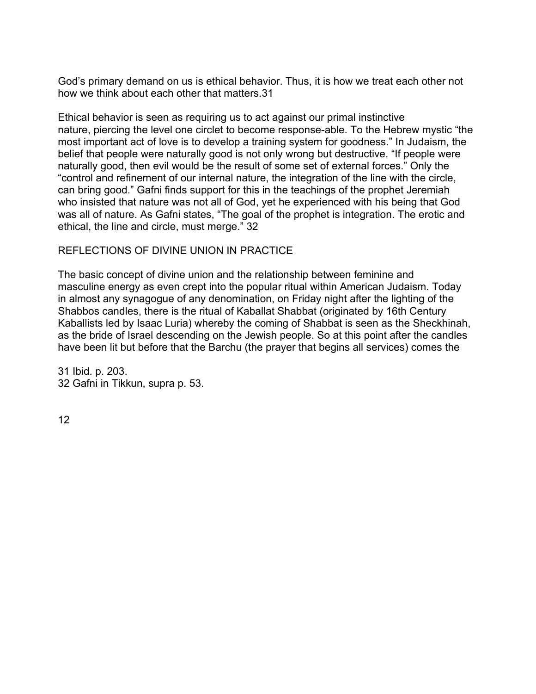God's primary demand on us is ethical behavior. Thus, it is how we treat each other not how we think about each other that matters.31

Ethical behavior is seen as requiring us to act against our primal instinctive nature, piercing the level one circlet to become response-able. To the Hebrew mystic "the most important act of love is to develop a training system for goodness." In Judaism, the belief that people were naturally good is not only wrong but destructive. "If people were naturally good, then evil would be the result of some set of external forces." Only the "control and refinement of our internal nature, the integration of the line with the circle, can bring good." Gafni finds support for this in the teachings of the prophet Jeremiah who insisted that nature was not all of God, yet he experienced with his being that God was all of nature. As Gafni states, "The goal of the prophet is integration. The erotic and ethical, the line and circle, must merge." 32

## REFLECTIONS OF DIVINE UNION IN PRACTICE

The basic concept of divine union and the relationship between feminine and masculine energy as even crept into the popular ritual within American Judaism. Today in almost any synagogue of any denomination, on Friday night after the lighting of the Shabbos candles, there is the ritual of Kaballat Shabbat (originated by 16th Century Kaballists led by Isaac Luria) whereby the coming of Shabbat is seen as the Sheckhinah, as the bride of Israel descending on the Jewish people. So at this point after the candles have been lit but before that the Barchu (the prayer that begins all services) comes the

31 Ibid. p. 203. 32 Gafni in Tikkun, supra p. 53.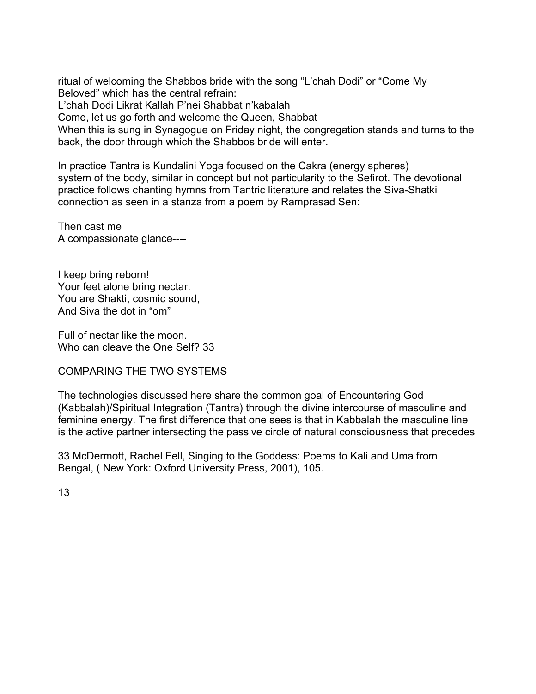ritual of welcoming the Shabbos bride with the song "L'chah Dodi" or "Come My Beloved" which has the central refrain:

L'chah Dodi Likrat Kallah P'nei Shabbat n'kabalah

Come, let us go forth and welcome the Queen, Shabbat

When this is sung in Synagogue on Friday night, the congregation stands and turns to the back, the door through which the Shabbos bride will enter.

In practice Tantra is Kundalini Yoga focused on the Cakra (energy spheres) system of the body, similar in concept but not particularity to the Sefirot. The devotional practice follows chanting hymns from Tantric literature and relates the Siva-Shatki connection as seen in a stanza from a poem by Ramprasad Sen:

Then cast me A compassionate glance----

I keep bring reborn! Your feet alone bring nectar. You are Shakti, cosmic sound, And Siva the dot in "om"

Full of nectar like the moon. Who can cleave the One Self? 33

COMPARING THE TWO SYSTEMS

The technologies discussed here share the common goal of Encountering God (Kabbalah)/Spiritual Integration (Tantra) through the divine intercourse of masculine and feminine energy. The first difference that one sees is that in Kabbalah the masculine line is the active partner intersecting the passive circle of natural consciousness that precedes

33 McDermott, Rachel Fell, Singing to the Goddess: Poems to Kali and Uma from Bengal, ( New York: Oxford University Press, 2001), 105.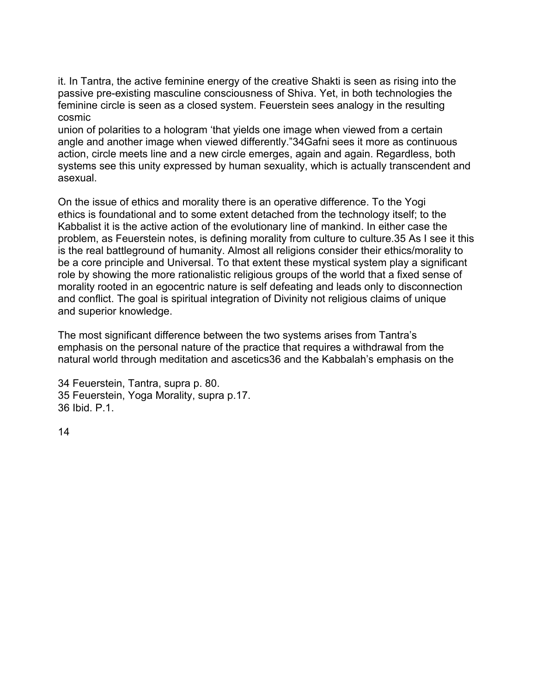it. In Tantra, the active feminine energy of the creative Shakti is seen as rising into the passive pre-existing masculine consciousness of Shiva. Yet, in both technologies the feminine circle is seen as a closed system. Feuerstein sees analogy in the resulting cosmic

union of polarities to a hologram 'that yields one image when viewed from a certain angle and another image when viewed differently."34Gafni sees it more as continuous action, circle meets line and a new circle emerges, again and again. Regardless, both systems see this unity expressed by human sexuality, which is actually transcendent and asexual.

On the issue of ethics and morality there is an operative difference. To the Yogi ethics is foundational and to some extent detached from the technology itself; to the Kabbalist it is the active action of the evolutionary line of mankind. In either case the problem, as Feuerstein notes, is defining morality from culture to culture.35 As I see it this is the real battleground of humanity. Almost all religions consider their ethics/morality to be a core principle and Universal. To that extent these mystical system play a significant role by showing the more rationalistic religious groups of the world that a fixed sense of morality rooted in an egocentric nature is self defeating and leads only to disconnection and conflict. The goal is spiritual integration of Divinity not religious claims of unique and superior knowledge.

The most significant difference between the two systems arises from Tantra's emphasis on the personal nature of the practice that requires a withdrawal from the natural world through meditation and ascetics36 and the Kabbalah's emphasis on the

34 Feuerstein, Tantra, supra p. 80. 35 Feuerstein, Yoga Morality, supra p.17. 36 Ibid. P.1.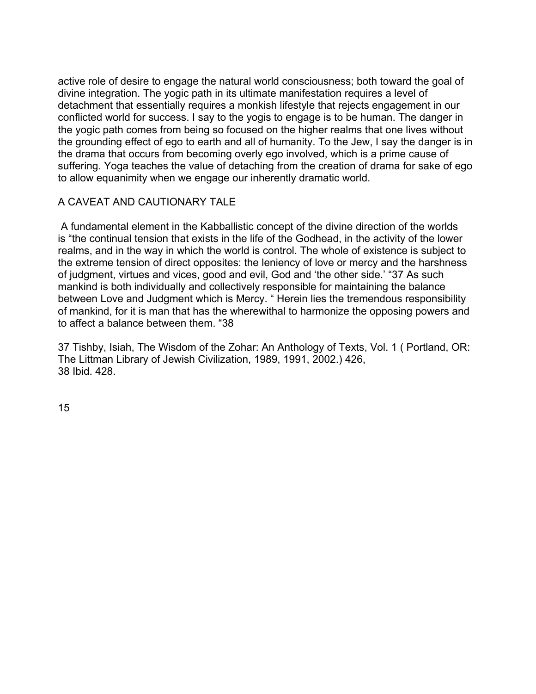active role of desire to engage the natural world consciousness; both toward the goal of divine integration. The yogic path in its ultimate manifestation requires a level of detachment that essentially requires a monkish lifestyle that rejects engagement in our conflicted world for success. I say to the yogis to engage is to be human. The danger in the yogic path comes from being so focused on the higher realms that one lives without the grounding effect of ego to earth and all of humanity. To the Jew, I say the danger is in the drama that occurs from becoming overly ego involved, which is a prime cause of suffering. Yoga teaches the value of detaching from the creation of drama for sake of ego to allow equanimity when we engage our inherently dramatic world.

## A CAVEAT AND CAUTIONARY TALE

 A fundamental element in the Kabballistic concept of the divine direction of the worlds is "the continual tension that exists in the life of the Godhead, in the activity of the lower realms, and in the way in which the world is control. The whole of existence is subject to the extreme tension of direct opposites: the leniency of love or mercy and the harshness of judgment, virtues and vices, good and evil, God and 'the other side.' "37 As such mankind is both individually and collectively responsible for maintaining the balance between Love and Judgment which is Mercy. " Herein lies the tremendous responsibility of mankind, for it is man that has the wherewithal to harmonize the opposing powers and to affect a balance between them. "38

37 Tishby, Isiah, The Wisdom of the Zohar: An Anthology of Texts, Vol. 1 ( Portland, OR: The Littman Library of Jewish Civilization, 1989, 1991, 2002.) 426, 38 Ibid. 428.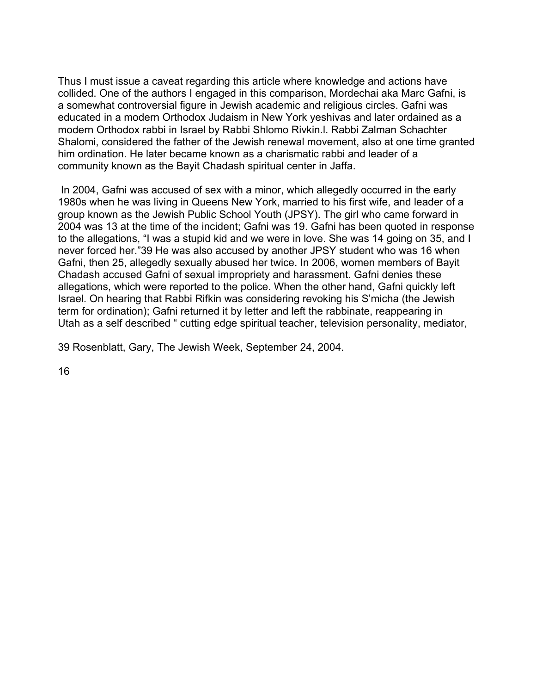Thus I must issue a caveat regarding this article where knowledge and actions have collided. One of the authors I engaged in this comparison, Mordechai aka Marc Gafni, is a somewhat controversial figure in Jewish academic and religious circles. Gafni was educated in a modern Orthodox Judaism in New York yeshivas and later ordained as a modern Orthodox rabbi in Israel by Rabbi Shlomo Rivkin.l. Rabbi Zalman Schachter Shalomi, considered the father of the Jewish renewal movement, also at one time granted him ordination. He later became known as a charismatic rabbi and leader of a community known as the Bayit Chadash spiritual center in Jaffa.

 In 2004, Gafni was accused of sex with a minor, which allegedly occurred in the early 1980s when he was living in Queens New York, married to his first wife, and leader of a group known as the Jewish Public School Youth (JPSY). The girl who came forward in 2004 was 13 at the time of the incident; Gafni was 19. Gafni has been quoted in response to the allegations, "I was a stupid kid and we were in love. She was 14 going on 35, and I never forced her."39 He was also accused by another JPSY student who was 16 when Gafni, then 25, allegedly sexually abused her twice. In 2006, women members of Bayit Chadash accused Gafni of sexual impropriety and harassment. Gafni denies these allegations, which were reported to the police. When the other hand, Gafni quickly left Israel. On hearing that Rabbi Rifkin was considering revoking his S'micha (the Jewish term for ordination); Gafni returned it by letter and left the rabbinate, reappearing in Utah as a self described " cutting edge spiritual teacher, television personality, mediator,

39 Rosenblatt, Gary, The Jewish Week, September 24, 2004.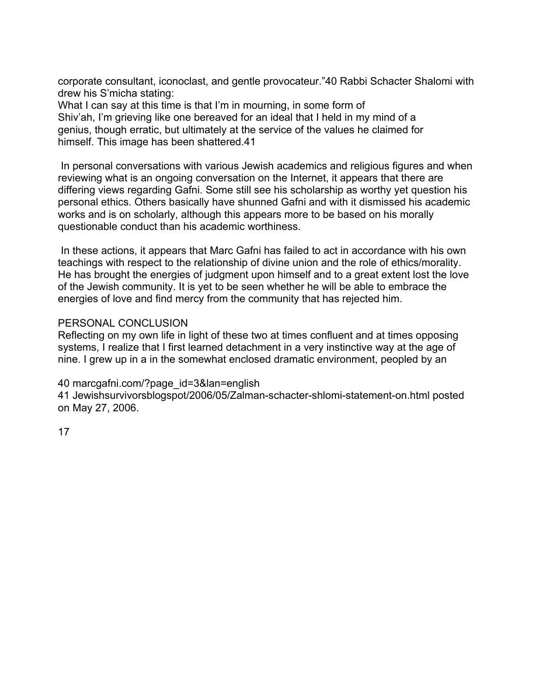corporate consultant, iconoclast, and gentle provocateur."40 Rabbi Schacter Shalomi with drew his S'micha stating:

What I can say at this time is that I'm in mourning, in some form of Shiv'ah, I'm grieving like one bereaved for an ideal that I held in my mind of a genius, though erratic, but ultimately at the service of the values he claimed for himself. This image has been shattered.41

 In personal conversations with various Jewish academics and religious figures and when reviewing what is an ongoing conversation on the Internet, it appears that there are differing views regarding Gafni. Some still see his scholarship as worthy yet question his personal ethics. Others basically have shunned Gafni and with it dismissed his academic works and is on scholarly, although this appears more to be based on his morally questionable conduct than his academic worthiness.

 In these actions, it appears that Marc Gafni has failed to act in accordance with his own teachings with respect to the relationship of divine union and the role of ethics/morality. He has brought the energies of judgment upon himself and to a great extent lost the love of the Jewish community. It is yet to be seen whether he will be able to embrace the energies of love and find mercy from the community that has rejected him.

#### PERSONAL CONCLUSION

Reflecting on my own life in light of these two at times confluent and at times opposing systems, I realize that I first learned detachment in a very instinctive way at the age of nine. I grew up in a in the somewhat enclosed dramatic environment, peopled by an

#### 40 marcgafni.com/?page\_id=3&lan=english

41 Jewishsurvivorsblogspot/2006/05/Zalman-schacter-shlomi-statement-on.html posted on May 27, 2006.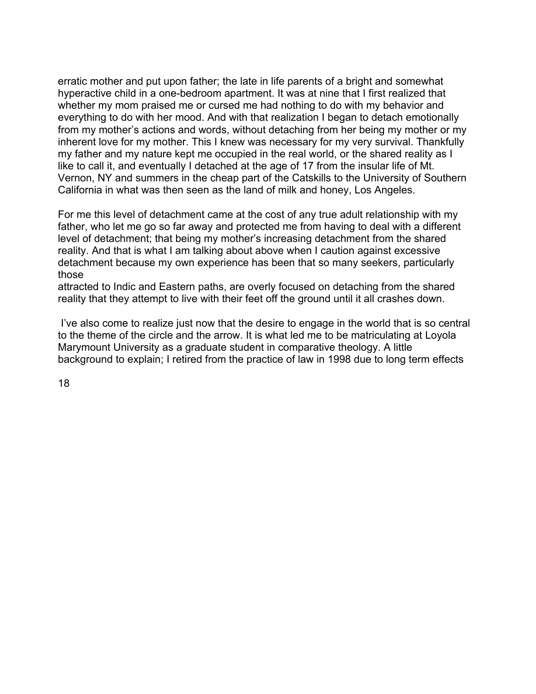erratic mother and put upon father; the late in life parents of a bright and somewhat hyperactive child in a one-bedroom apartment. It was at nine that I first realized that whether my mom praised me or cursed me had nothing to do with my behavior and everything to do with her mood. And with that realization I began to detach emotionally from my mother's actions and words, without detaching from her being my mother or my inherent love for my mother. This I knew was necessary for my very survival. Thankfully my father and my nature kept me occupied in the real world, or the shared reality as I like to call it, and eventually I detached at the age of 17 from the insular life of Mt. Vernon, NY and summers in the cheap part of the Catskills to the University of Southern California in what was then seen as the land of milk and honey, Los Angeles.

For me this level of detachment came at the cost of any true adult relationship with my father, who let me go so far away and protected me from having to deal with a different level of detachment; that being my mother's increasing detachment from the shared reality. And that is what I am talking about above when I caution against excessive detachment because my own experience has been that so many seekers, particularly those

attracted to Indic and Eastern paths, are overly focused on detaching from the shared reality that they attempt to live with their feet off the ground until it all crashes down.

 I've also come to realize just now that the desire to engage in the world that is so central to the theme of the circle and the arrow. It is what led me to be matriculating at Loyola Marymount University as a graduate student in comparative theology. A little background to explain; I retired from the practice of law in 1998 due to long term effects